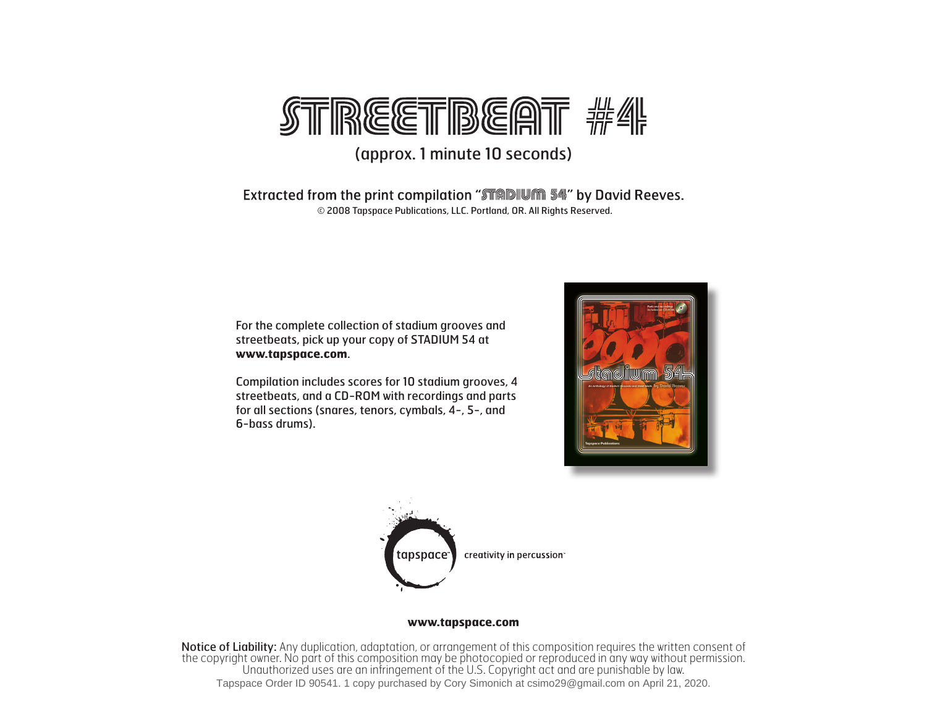

## (approx. 1 minute 10 seconds)

Extracted from the print compilation "STADIUM 54" by David Reeves. © 2008 Tapspace Publications, LLC. Portland, OR. All Rights Reserved.

For the complete collection of stadium grooves and streetbeats, pick up your copy of STADIUM 54 at **www.tapspace.com**.

Compilation includes scores for 10 stadium grooves, 4 streetbeats, and a CD-ROM with recordings and parts for all sections (snares, tenors, cymbals, 4-, 5-, and 6-bass drums).





## **www.tapspace.com**

Notice of Liability: Any duplication, adaptation, or arrangement of this composition requires the written consent of the copyright owner. No part of this composition may be photocopied or reproduced in any way without permission. Unauthorized uses are an infringement of the U.S. Copyright act and are punishable by law. Tapspace Order ID 90541. 1 copy purchased by Cory Simonich at csimo29@gmail.com on April 21, 2020.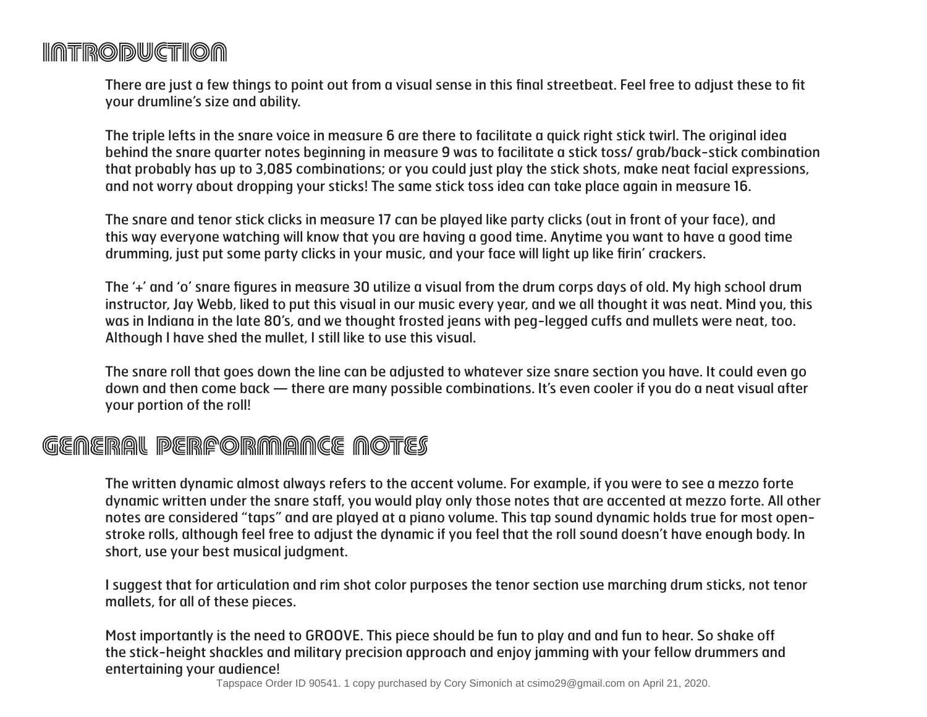## **INTRODUCTION**

There are just a few things to point out from a visual sense in this final streetbeat. Feel free to adjust these to fit your drumline's size and ability.

The triple lefts in the snare voice in measure 6 are there to facilitate a quick right stick twirl. The original idea behind the snare quarter notes beginning in measure 9 was to facilitate a stick toss/ grab/back-stick combination that probably has up to 3,085 combinations; or you could just play the stick shots, make neat facial expressions, and not worry about dropping your sticks! The same stick toss idea can take place again in measure 16.

The snare and tenor stick clicks in measure 17 can be played like party clicks (out in front of your face), and this way everyone watching will know that you are having a good time. Anytime you want to have a good time drumming, just put some party clicks in your music, and your face will light up like firin' crackers.

The '+' and 'o' snare figures in measure 30 utilize a visual from the drum corps days of old. My high school drum instructor, Jay Webb, liked to put this visual in our music every year, and we all thought it was neat. Mind you, this was in Indiana in the late 80's, and we thought frosted jeans with peg-legged cuffs and mullets were neat, too. Although I have shed the mullet, I still like to use this visual.

The snare roll that goes down the line can be adjusted to whatever size snare section you have. It could even go down and then come back — there are many possible combinations. It's even cooler if you do a neat visual after your portion of the roll!

## GEMERAL PERPORMANCE NOTES

The written dynamic almost always refers to the accent volume. For example, if you were to see a mezzo forte dynamic written under the snare staff, you would play only those notes that are accented at mezzo forte. All other notes are considered "taps" and are played at a piano volume. This tap sound dynamic holds true for most openstroke rolls, although feel free to adjust the dynamic if you feel that the roll sound doesn't have enough body. In short, use your best musical judgment.

I suggest that for articulation and rim shot color purposes the tenor section use marching drum sticks, not tenor mallets, for all of these pieces.

Most importantly is the need to GROOVE. This piece should be fun to play and and fun to hear. So shake off the stick-height shackles and military precision approach and enjoy jamming with your fellow drummers and entertaining your audience!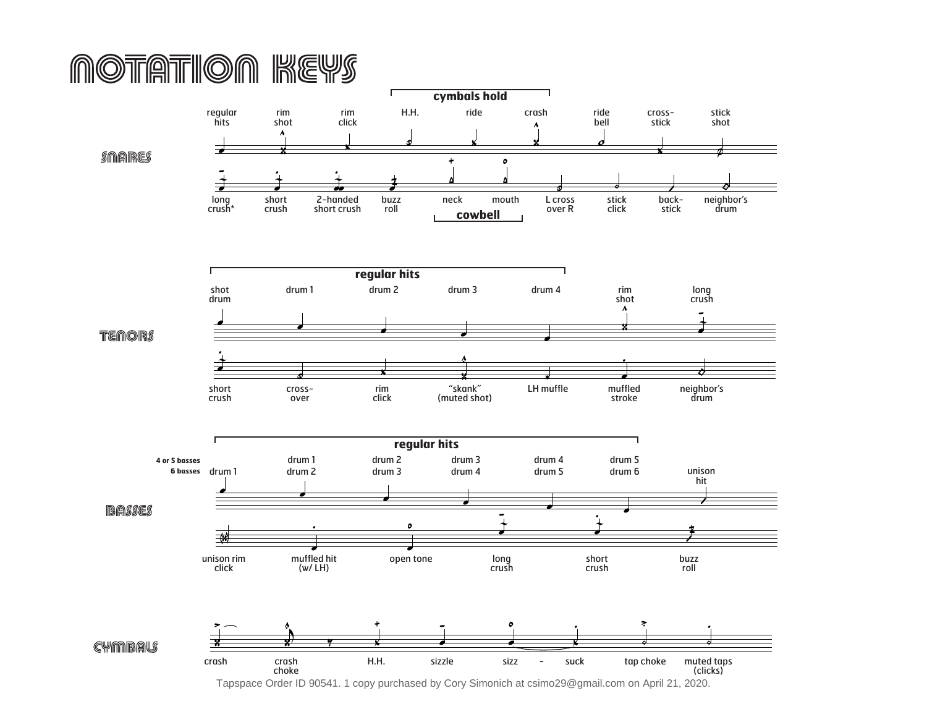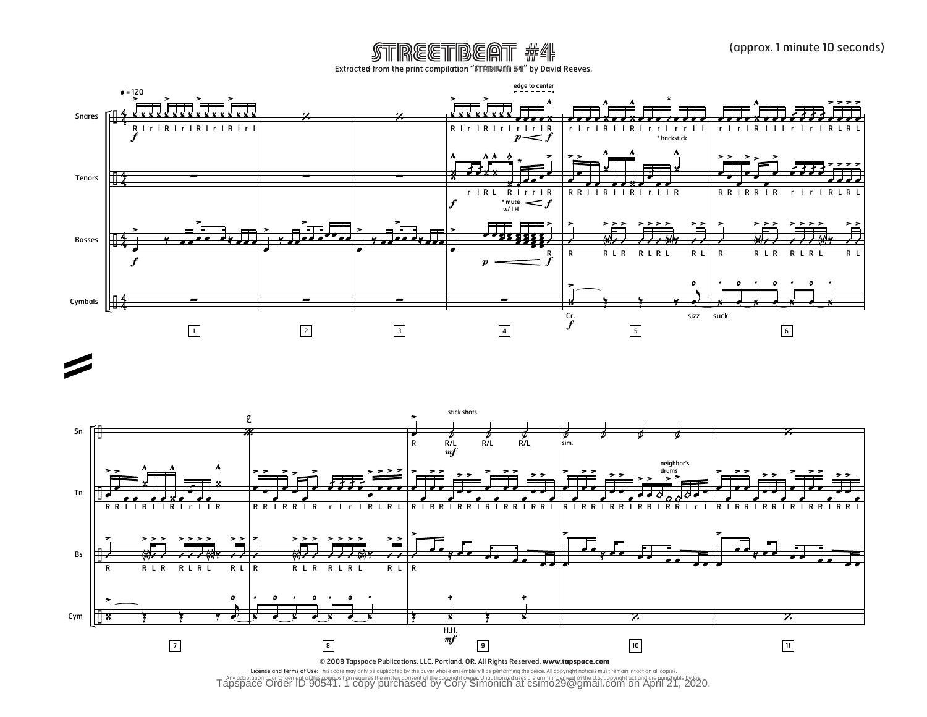STREETBEAT #4 Extracted from the print compilation "STADIUM \$4" by David Reeves.

![](_page_3_Figure_2.jpeg)

![](_page_3_Figure_3.jpeg)

Tany adaptation or arrangement of this composition requires the written consent of the convright owner. Unauthorized uses are an infringement of the U.S. Copyright act and are punishple by law<br>Tapspace Order ID 90541. 1 co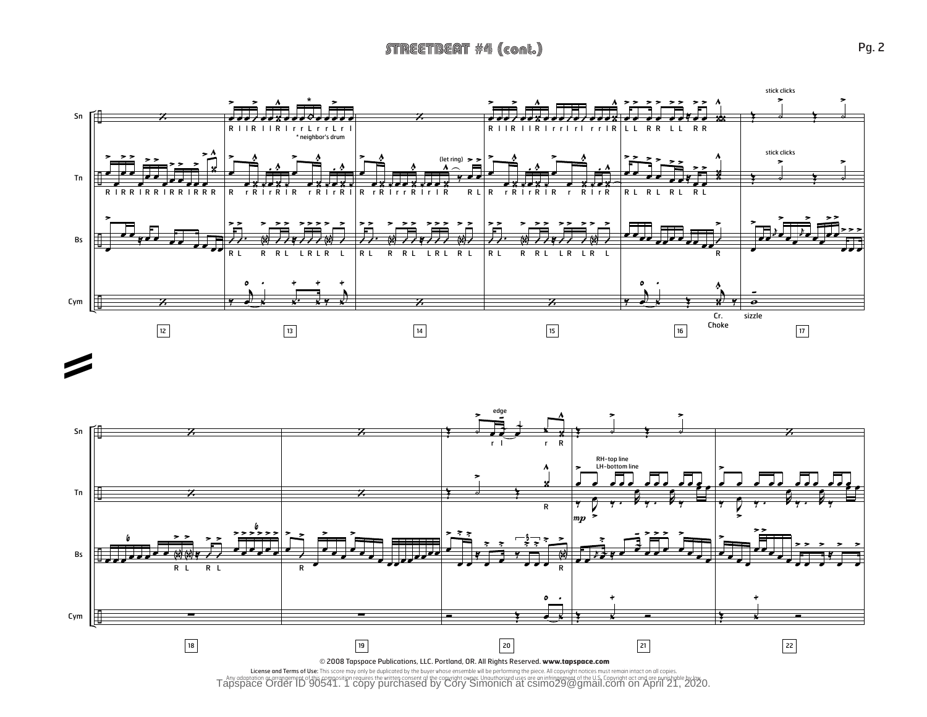![](_page_4_Figure_1.jpeg)

![](_page_4_Figure_2.jpeg)

Tapspace of this component of this composition requires the written consent of the convright owner. Unauthorized uses are an infringement of the U.S. Copyright act and are nunishable by low<br>Tapspace Order ID 90541. 1 copy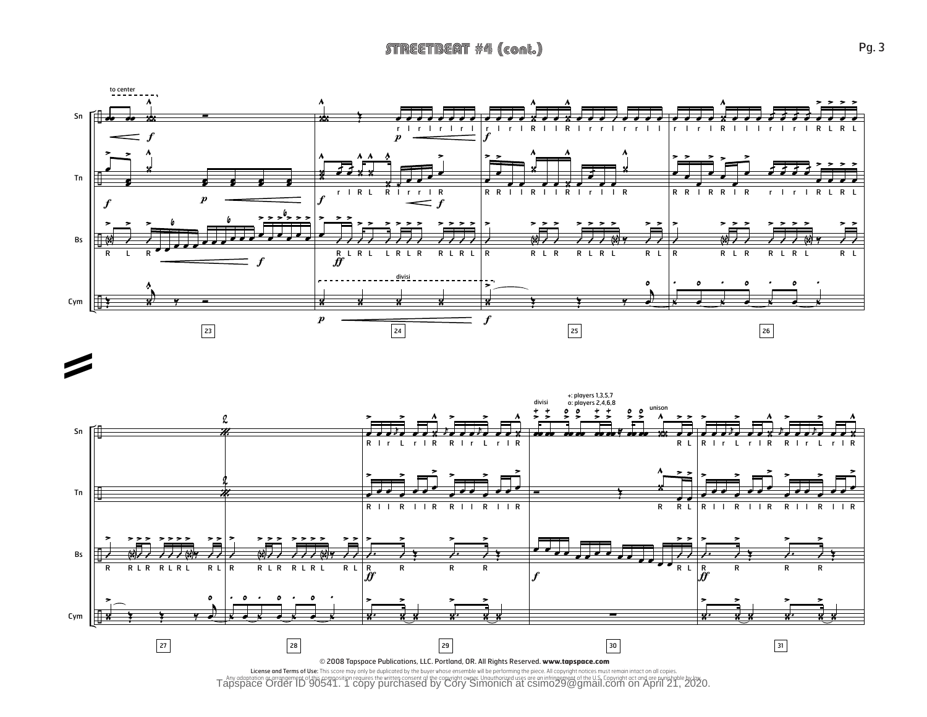![](_page_5_Figure_1.jpeg)

![](_page_5_Figure_2.jpeg)

Tapspace of this component of this composition requires the written consent of the convright owner. Unauthorized uses are an infringement of the U.S. Copyright act and are nunishable by low<br>Tapspace Order ID 90541. 1 copy